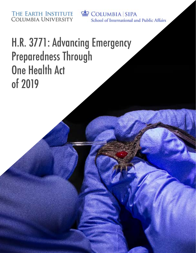THE EARTH INSTITUTE<br>COLUMBIA UNIVERSITY

COLUMBIA SIPA School of International and Public Affairs

# H.R. 3771: Advancing Emergency **Preparedness Through One Health Act** of 2019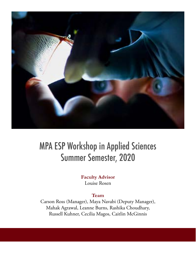

## **MPA ESP Workshop in Applied Sciences** Summer Semester, 2020

#### **Faculty Advisor** Louise Rosen

#### **Team**

Carson Ross (Manager), Maya Navabi (Deputy Manager), Mahak Agrawal, Leanne Burns, Rashika Choudhary, Russell Kuhner, Cecilia Magos, Caitlin McGinnis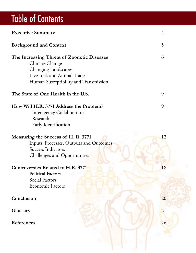# **Table of Contents**

| <b>Executive Summary</b>                   | 4  |
|--------------------------------------------|----|
| <b>Background and Context</b>              | 5  |
| The Increasing Threat of Zoonotic Diseases | 6  |
| Climate Change                             |    |
| <b>Changing Landscapes</b>                 |    |
| Livestock and Animal Trade                 |    |
| Human Susceptibility and Transmission      |    |
| The State of One Health in the U.S.        | 9  |
| How Will H.R. 3771 Address the Problem?    | 9  |
| <b>Interagency Collaboration</b>           |    |
| Research                                   |    |
| Early Identification                       |    |
| Measuring the Success of H. R. 3771        | 12 |
| Inputs, Processes, Outputs and Outcomes    |    |
| <b>Success Indicators</b>                  |    |
| <b>Challenges and Opportunities</b>        |    |
| <b>Controversies Related to H.R. 3771</b>  | 18 |
| Political Factors                          |    |
| Social Factors                             |    |
| <b>Economic Factors</b>                    |    |
| Conclusion                                 | 20 |
|                                            |    |
| Glossary                                   | 21 |
|                                            |    |
| References                                 | 26 |
|                                            |    |
|                                            |    |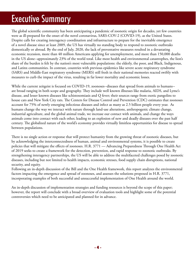## **Executive Summary**

The global scientific community has been anticipating a pandemic of zoonotic origin for decades, yet few countries were as ill-prepared for the onset of the novel coronavirus, SARS-COV-2 (COVID-19), as the United States. Despite calls for creating interagency coordination and infrastructure to prepare for the inevitable emergence of a novel disease since at least 2009, the US has virtually no standing body to respond to zoonotic outbreaks domestically or abroad. By the end of July, 2020, the lack of preventative measures resulted in a devastating economic recession, more than 40 million Americans applying for unemployment, and more than 150,000 deaths in the US alone--approximately 23% of the world total. Like most health and environmental catastrophes, the lion's share of the burden is felt by the nation's most vulnerable populations: the elderly, the poor, and Black, Indigenous, and Latinx communities. In contrast, countries with previous epidemics like severe acute respiratory syndrome (SARS) and Middle-East respiratory syndrome (MERS) still fresh in their national memories reacted swiftly with measures to curb the impact of the virus, resulting in far lower mortality and economic losses.

While the current zeitgeist is focused on COVID-19, zoonoses--diseases that spread from animals to humans-are broad ranging in both scope and geography. They include well known illnesses like malaria, AIDS, and Lyme's disease, and lesser known diseases like schistosomiasis and Q fever; their sources range from exotic pangolins to house cats and New York City rats. The Centers for Disease Control and Prevention (CDC) estimates that zoonoses account for 75% of newly emerging infectious diseases and infect as many as 2.5 billion people every year. As humans change the way we interact with nature through land-use alterations, anthropogenic climate change, industrial agriculture, and the global animal trade, we increase our contact with animals, and change the ways animals come into contact with each other, leading to an explosion of new and deadly diseases over the past half century. The globalized nature of the world's economy provides virtually limitless opportunities for disease to spread between populations.

There is no single action or response that will protect humanity from the growing threat of zoonotic diseases, but by acknowledging the interconnectedness of human, animal and environmental systems, it is possible to create policies that will mitigate the effects of zoonoses. H.R. 3771 — Advancing Preparedness Through One Health Act of 2019 seeks to create a framework for the detection, prevention, and rapid response to zoonotic outbreaks. By strengthening interagency partnerships, the US will be able to address the multifaceted challenges posed by zoonotic diseases, including but not limited to health impacts, economic stresses, food supply chain disruptions, national security, and equity.

Following an in-depth discussion of the Bill and the One Health framework, this report analyzes the environmental factors impacting the emergence and spread of zoonoses, and assesses the solutions proposed in H.R. 3771, incorporating examples of both successful and unsuccessful implementation of One Health around the world.

An in-depth discussion of implementation strategies and funding resources is beyond the scope of this paper; however, the report will conclude with a broad overview of evaluation tools and highlight some of the potential controversies which need to be anticipated and planned for in advance.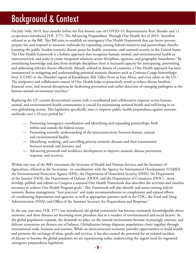## **Context** Background & Context **Background & Context**

On July 16th, 2019, four months before the first known case of COVID-19, Representative Kurt Shrader and 13 co-sponsors introduced H.R. 3771: The Advancing Preparedness Through One Health Act of 2019,<sup>1</sup> hertofore referred to as the Bill. This Bill aims to establish an interagency One Health Framework that can better prevent, prepare for, and respond to zoonotic outbreaks by expanding existing federal initiatives and partnerships, thereby lessening the public burden zoonotic disease poses for health, economic, and national security in the United States. The One Health framework is a holistic approach that recognizes human, animal, and environmental health as interconnected, and seeks to create integrated solutions across disciplines, agencies, and geographic boundaries. $^2$  By assimilating knowledge and data from multiple disciplines there is increased capacity for anticipating, prioritizing, and addressing relevant threats effectively. Already utilized in dozens of countries, a One Health approach has been instrumental in mitigating and understanding potential zoonotic disasters such as Crimean-Congo hemorrhagic fever (CCHF) in the Zhambyl region of Kazakhstan, Rift Valley Fever in East Africa, and even rabies in the US.<sup>3</sup> The integrative and collaborative nature of One Health helps to proactively avoid or reduce disease burdens, financial costs, and societal disruptions by facilitating prevention and earlier detection of emerging pathogens at the human-animal-environment interface.<sup>4</sup>

Replacing the US' current decentralized system with a coordinated and collaborative response across human, animal, and environmental health communities is crucial for maintaining national health and well-being in an ever-globalizing society. This legislation specifically aims to improve public health preparedness against zoonotic outbreaks over a 10-year period by:<sup>5</sup>

- $\mu$  Promoting interagency coordination and identifying and expanding partnerships, both within and outside the federal nexus;
- $-$  Promoting scientific understanding of the interconnectivity between human, animal, and environmental health;
- <sup>-</sup> Identifying, studying, and surveilling priority zoonotic diseases and their transmission between animals and humans; and
- Advancing protocols and workforce development to improve zoonotic disease prevention, response, and recovery.

Within one year of the Bill's enactment the Secretary of Health and Human Services and the Secretary of Agriculture, referred as the Secretaries - in coordination with the Agency for International Development (USAID), the Environmental Protection Agency (EPA), the Department of Homeland Security (DHS), the Department of the Interior (DOI), the Department of Defense (DOD), and the Department of Commerce (DOC) - must develop, publish and submit to Congress a national One Health Framework that describes the activities and timeline necessary to achieve One Health Program goals.<sup>5</sup> This Framework will also identify and assess existing federal zoonotic disease management "best practices" and make recommendations to complement and expand efforts of coordinating departments and agencies, as well as appropriate partners such as the CDC, the Food and Drug Administration (FDA), and Office of the Assistant Secretary for Preparedness and Response.<sup>5</sup>

In the one year since H.R. 3771 was introduced, the global community has become intimately knowledgeable about zoonoses, and these diseases are becoming more prevalent due to a number of environmental and social factors. As the global population expands, the demands we place on the natural environment become increasingly onerous, and delicate ecosystems are thrown out of balance. Globalization brings disparate populations closer together through international trade, business and tourism. While an interconnected economy provides opportunities to build wealth and promote the exchange of ideas, goods and services, it has also created the potential for an isolated incident of disease to become the global pandemic we are experiencing today, underscoring the urgent need for ingrained emergency preparedness legislation.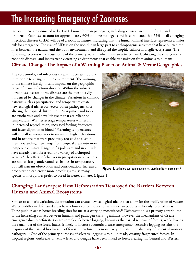## The Increasing Emergency of Zoonoses

In total, there are estimated to be 1,400 known human pathogens, including viruses, bacterium, fungi, and protozoa.<sup>6</sup> Zoonoses account for approximately 60% of these pathogens and it is estimated that 75% of all emerging infectious diseases (EIDs) will be of a zoonotic nature, indicating that the human-animal interface represents a major risk for emergence. The risk of EIDs is on the rise, due in large part to anthropogenic activities that have blurred the lines between the natural and the built environment, and disrupted the trophic balance in fragile ecosystems. The following sections will discuss some of the primary ways in which human activities are facilitating the emergence of zoonotic diseases, and inadvertently creating environments that enable transmission from animals to humans.

#### **Climate Change: The Impact of a Warming Planet on Animal & Vector Geographies**

The epidemiology of infectious diseases fluctuates rapidly in response to changes in the environment. The warming of the climate has significant impacts on the geographic range of many infectious diseases. Within the subsect of zoonoses, vector-borne diseases are the most heavily influenced by changes in the climate. Variations in climatic patterns such as precipitation and temperature create new ecological niches for vector-borne pathogens, thus altering their spatial distribution. Mosquitoes and ticks are exothermic and have life cycles that are reliant on temperature. Warmer average temperatures will result in increased reproduction, increased feeding frequency, and faster digestion of blood.<sup>7</sup> Warming temperatures will also allow mosquitoes to survive in higher elevations and in regions that were previously too cold to sustain them, expanding their range from tropical areas into more temperate climates. Range shifts poleward and in altitude have already been observed for a variety of arthropod vectors.<sup>8</sup> The effects of changes in precipitation on vectors are not as clearly understood as changes in temperature, but still warrant observation and consideration. Increased precipitation can create more breeding sites, as many



Figure 1. A shallow pool acting as a perfect breeding site for mosquitoes.<sup>9</sup>

species of mosquitoes prefer to breed in wetter climates (Figure 1).

### **Changing Landscapes: How Deforestation Destroyed the Barriers Between Human and Animal Ecosystems**

Similar to climatic variation, deforestation can create new ecological niches that allow for the proliferation of vectors. Water puddles in deforested areas have a lower concentration of salinity than puddles in heavily forested areas. These puddles act as better breeding sites for malaria-carrying mosquitoes.<sup>10</sup> Deforestation is a primary contributor to the increasing contact between humans and pathogen-carrying animals, however the mechanisms of disease emergence due to deforestation are complex. Selective logging, known as the partial removal of forests, while leaving the remainder of the forest intact, is likely to increase zoonotic disease emergence.<sup>11</sup> Selective logging sustains the majority of the natural biodiversity of forests; therefore, it is more likely to sustain the diversity of potential zoonotic pathogens.<sup>11</sup> One of the primary purposes of selective logging is to build roads, creating fragmented forests. In tropical regions, outbreaks of yellow fever and dengue have been linked to forest clearing. In Central and Western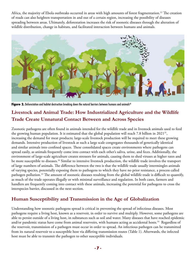Africa, the majority of Ebola outbreaks occurred in areas with high amounts of forest fragmentation.<sup>12</sup> The creation of roads can also heighten transportation in and out of a certain region, increasing the possibility of diseases spreading between areas. Ultimately, deforestation increases the risk of zoonotic diseases through the alteration of wildlife distribution, change in habitats, and facilitated interaction between humans and animals.



Figure 2. Deforestation and habitat destruction breaking down the natural barriers between humans and animals<sup>42</sup>

## **Livestock and Animal Trade: How Industrialized Agriculture and the Wildlife Trade Create Unnatural Contact Between and Across Species**

Zoonotic pathogens are often found in animals intended for the wildlife trade and in livestock animals used to feed the growing human population. It is estimated that the global population will reach 7.8 billion in  $2021^{31}$ , increasing the demand for meat products; large-scale livestock production will be required to meet these growing demands. Intensive production of livestock at such a large scale congregates thousands of genetically identical and similar animals into confined spaces. These consolidated spaces create environments where pathogens can spread easily, as animals frequently come into contact with each other's saliva, urine, and feces. Additionally, the environment of large-scale agriculture creates stressors for animals, causing them to shed viruses at higher rates and be more susceptible to diseases.<sup>16</sup> Similar to intensive livestock production, the wildlife trade involves the transport of large numbers of animals. The difference between the two is that the wildlife trade usually intermingles animals of varying species, potentially exposing them to pathogens to which they have no prior resistance, a process called pathogen pollution.<sup>13</sup> The amount of zoonotic diseases resulting from the global wildlife trade is difficult to quantify, as much of the trade operates illegally or with minimal surveillance and regulation. In both cases, farmers and handlers are frequently coming into contact with these animals, increasing the potential for pathogens to cross the interspecies barrier, discussed in the next section.

#### Human Susceptibility and Transmission in the Age of Globalization

Understanding how zoonotic pathogens spread is critical in preventing the spread of infectious diseases. Most pathogens require a living host, known as a reservoir, in order to survive and multiply. However, some pathogens are able to persist outside of a living host, in substances such as soil and water. Many diseases that have reached epidemic and/or pandemic status have come from animal reservoirs, with humans acting as accidental hosts.<sup>14</sup> Regardless of the reservoir, transmission of a pathogen must occur in order to spread. An infectious pathogen can be transmitted from its natural reservoir to a susceptible host via differing transmission routes (Table 1). Afterwards, the infected host must be able to transmit the pathogen to other susceptible individuals.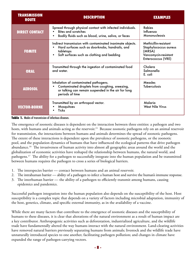| <b>TRANSMISSION</b><br><b>ROUTE</b> | <b>DESCRIPTION</b>                                                                                                                                                       | <b>EXAMPLES</b>                                                                                        |
|-------------------------------------|--------------------------------------------------------------------------------------------------------------------------------------------------------------------------|--------------------------------------------------------------------------------------------------------|
| <b>DIRECT CONTACT</b>               | Spread through physical contact with infected individuals.<br><b>Bites and scratches</b><br>Bodily fluids such as blood, urine, saliva, or feces                         | <b>Rabies</b><br>Influenza<br>Mononucleosis                                                            |
| <b>FOMITE</b>                       | Indirect transmission with contaminated inanimate objects.<br>Hard surfaces such as doorknobs, handrails, and<br>tabletops<br>Soft surfaces such as clothing and bedding | Methicillin-resistant<br>Staphylococcus aureus<br>(MRSA)<br>Vancomycin-resistant<br>Enterococcus (VRE) |
| <b>ORAL</b>                         | Transmitted through the ingestion of contaminated food<br>and water.                                                                                                     | Cholera<br>Salmonella<br>E. coli                                                                       |
| <b>AEROSOL</b>                      | Inhalation of contaminated pathogens.<br>Contaminated droplets from coughing, sneezing,<br>or talking can remain suspended in the air for long<br>periods of time        | <b>Measles</b><br><b>Tuberculosis</b>                                                                  |
| <b>VECTOR-BORNE</b>                 | Transmitted by an arthropod vector.<br>Mosquitoes<br><b>Ticks</b>                                                                                                        | Malaria<br><b>West Nile Virus</b>                                                                      |

#### Table 1. Modes of transmission of infectious diseases.

The emergence of zoonotic diseases is dependent on the interaction between three entities: a pathogen and two hosts, with humans and animals acting as the reservoir.<sup>15</sup> Because zoonotic pathogens rely on an animal reservoir for transmission, the interactions between humans and animals determines the spread of zoonotic pathogens. The extent of these interactions is dependent upon the prevalence of zoonotic pathogens, or the zoonotic pool, and the population dynamics of humans that have influenced the ecological patterns that drive pathogen abundance.<sup>10</sup> The invasiveness of human activity into almost all geographic areas around the world and the globalization of economic activities have reshaped the relationship between humans, the natural world, and pathogens.<sup>17</sup> The ability for a pathogen to successfully integrate into the human population and be transmitted between humans requires the pathogen to cross a series of biological barriers.

- 1. The interspecies barrier contact between humans and an animal reservoir.
- 2. The intrahuman barrier ability of a pathogen to infect a human host and survive the human's immune response.
- 3. The interhuman barrier the ability of a pathogen to efficiently transmit among humans, causing epidemics and pandemics.

Successful pathogen integration into the human population also depends on the susceptibility of the host. Host susceptibility is a complex topic that depends on a variety of factors including microbial adaptation, immunity of the host, genetics, climate, and specific external immunity, as in the availability of a vaccine.

While there are many factors that contribute to the emergence of zoonotic diseases and the susceptibility of humans to these diseases, it is clear that alterations of the natural environment as a result of human impact are a key contributor. Anthropogenic activities such as deforestation, industrialized agriculture, and the wildlife trade have fundamentally altered the way humans interact with the natural environment. Land-clearing activities have removed natural barriers previously separating humans from animals; livestock and the wildlife trade have unnaturally introduced species to one another, facilitating pathogen pollution; and changes in climate have expanded the range of pathogen-carrying vectors.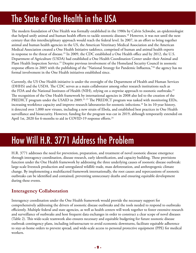## The State of One Health in the USA

The modern foundation of One Health was formally established in the 1980s by Calvin Schwabe, an epidemiologist that helped unify animal and human health efforts to tackle zoonotic diseases.<sup>18</sup> However, it was not until the next century that this interdisciplinary approach would reach the federal level. In 2007, in an effort to bring together animal and human health agencies in the US, the American Veterinary Medical Association and the American Medical Association created a One Health Initiative taskforce, comprised of human and animal health experts in response to the threat of disease.<sup>19</sup> In 2009, the CDC established a One Health office and by 2012, the U.S. Department of Agriculture (USDA) had established a One Health Coordination Center under their Animal and Plant Health Inspection Service.<sup>19</sup> Despite previous involvement of the Homeland Security Council in zoonotic response efforts in 2005 with the publishing of the "National Strategy for Pandemic Influenza,"<sup>20</sup> the agency has no formal involvement in the One Health initiatives established since.

Currently, the US One Health initiative is under the oversight of the Department of Health and Human Services (DHHS) and the USDA. The CDC serves as a main collaborator among other research institutions such as the FDA and the National Institutes of Health (NIH), relying on a stepwise approach to zoonotic outbreaks.<sup>21</sup> The recognition of the One Health framework by international agencies in 2008 also led to the creation of the PREDICT program under the USAID in 2009.<sup>22, 23</sup> The PREDICT program was tasked with monitoring EIDs, increasing workforce capacity and improve research laboratories for zoonotic infections.<sup>24</sup> In its 10-year history, it detected over 1,000 new viruses, including a new strain of Ebola, and established best practices in One Health surveillance and biosecurity. However, funding for the program was cut in 2019, although temporarily extended on April 1st, 2020 for 6-months to aid in COVID-19 response efforts.<sup>24</sup>

## How Will H.R. 3771 Address the Problem

H.R. 3771 addresses the need for prevention, preparation, and treatment of novel zoonotic disease emergence through interagency coordination, disease research, early identification, and capacity building. These provisions function under the One Health framework by addressing the three underlying causes of zoonotic disease outbreak: large-scale livestock production and unregulated wildlife trade, mass deforestation, and anthropogenic climate change. By implementing a multifaceted framework internationally, the root causes and repercussions of zoonotic outbreaks can be identified and contained, preventing unnecessary deaths and ensuring equitable development during these events.

### **Interagency Collaboration**

Interagency coordination under the One Health framework would provide the necessary support for comprehensively addressing the drivers of zoonotic disease outbreaks and the tools needed to respond to outbreaks efficiently. Multiple federal and state agencies, as well as health centers will work together to foster extensive research and surveillance of outbreaks and host frequent data exchanges in order to construct a clear scope of novel diseases (Table 2). This wide-scale teamwork also ensures necessary and equitable budgeting for future zoonotic disease outbreak contingency plans, including infrastructure to avoid economic downturns, facilitate equitable adherence to stay-at-home orders to prevent spread, and wide-scale access to personal protective equipment (PPE) for medical .workers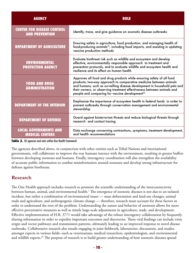| <b>AGENCY</b>                                              | <b>ROLE</b>                                                                                                                                                                                                                                                                                                                                                      |
|------------------------------------------------------------|------------------------------------------------------------------------------------------------------------------------------------------------------------------------------------------------------------------------------------------------------------------------------------------------------------------------------------------------------------------|
| <b>CENTER FOR DISEASE CONTROL</b><br><b>AND PREVENTION</b> | Identify, trace, and give guidance on zoonotic disease outbreaks                                                                                                                                                                                                                                                                                                 |
| <b>DEPARTMENT OF AGRICULTURE</b>                           | Ensuring safety in agriculture, food production, and managing health of<br>food-producing animals <sup>19</sup> , including food imports, and assisting in updating<br>vaccine production methods                                                                                                                                                                |
| <b>ENVIRONMENTAL</b><br><b>PROTECTION AGENCY</b>           | Evaluate biothreat risk such as wildlife and ecosystem and develop<br>effective, environmentally responsible approach to treatment and<br>prevention protocols, and to evaluate wildlife and ecosystem health and<br>resilience and its effect on human health                                                                                                   |
| <b>FOOD AND DRUG</b><br><b>ADMINISTRATION</b>              | Approves all food and drug products while ensuring safety of all food<br>products; two-way approach to comparative medicine between animals<br>and humans, such as surveilling disease development in household pets and<br>their owners, or observing treatment effectiveness between animals and<br>people and comparing for vaccine development <sup>43</sup> |
| <b>DEPARTMENT OF THE INTERIOR</b>                          | Emphasize the importance of ecosystem health in federal lands in order to<br>prevent outbreaks through conservation management and environmental<br>stewardship                                                                                                                                                                                                  |
| <b>DEPARTMENT OF DEFENSE</b>                               | Guard against bioterrorism threats and reduce biological threats through<br>research and contact tracing                                                                                                                                                                                                                                                         |
| <b>LOCAL GOVERNMENTS AND</b><br><b>MEDICAL CENTERS</b>     | Data exchange concerning contractions, symptoms, treatment development,<br>and health recommendations                                                                                                                                                                                                                                                            |

Table 2. US agencies and roles within One Health framework.

The agencies described above, in conjunction with other entities such as Tribal Nations and international governments, will collaborate to improve the way humans interact with the environment, resulting in greater buffers between developing zoonoses and humans. Finally, interagency coordination will also strengthen the availability of accurate public information to combat misinformation around zoonoses and develop strong infrastructure for defense against biothreats.

#### **Research**

The One Health approach includes research to promote the scientific understanding of the interconnectivity between human, animal, and environmental health.<sup>1</sup> The emergence of zoonotic diseases is not due to an isolated incident, but rather a combination of environmental issues — mass deforestation and land-use changes, animal trade and agriculture, and anthropogenic climate change — therefore, research must account for these factors in order to understand the root of the problem. Understanding the nature and behavior of zoonoses allows for more effective preventative measures as well as timely large-scale adjustments in agriculture, trade, and development. Effective implementation of H.R. 3771 would take advantage of the robust interagency collaboration by frequently sharing information in order to expedite important outcomes and discoveries. These vital findings can include virus origin and vector pathways and transmission patterns, ultimately leading to an improved response to novel disease outbreaks. Collaborative research also entails engaging in joint fieldwork, laboratories, discussions, and studies amongst experts in various fields--such as veterinarians, medical researchers, epidemiologists, and environmental and wildlife experts.<sup>29</sup> The purpose of research is to build greater understanding of how zoonotic diseases spread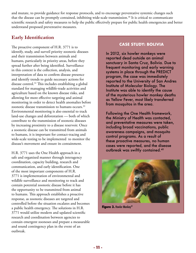and mutate, to provide guidance for response protocols, and to encourage preventative systemic changes such that the disease can be promptly contained, inhibiting wide-scale transmission.<sup>30</sup> It is critical to communicate scientific research and safety measures to help the public effectively prepare for public health emergencies and better understand proposed preventative measures.

### **Early Identification**

The proactive component of H.R.  $3771$  is to identify, study, and surveil priority zoonotic diseases and their transmission between animals and humans, particularly in priority areas, before they spread further after being identified. Surveillance in this context is the collection, analysis, and interpretation of data to confirm disease presence and identify trends to guide necessary actions for disease control.<sup>32</sup> This includes establishing a global standard for managing wildlife-trade activities and agriculture based on the known disease risks, and allowing for more effective targeting and animal monitoring in order to detect health anomalies before zoonotic disease transmission to humans occurs. $33$ Environmental monitoring is also essential to track land-use changes and deforestation — both of which contribute to the transmission of zoonotic diseases by increasing proximity to a disease reservoir. Once a zoonotic disease can be transmitted from animals to humans, it is important for contact-tracing and wide-scale testing to be implemented to monitor the disease's movement and ensure its containment.

H.R. 3771 uses the One Health approach in a safe and organized manner through interagency coordination, capacity building, research and communication, and early identification. One of the most important components of H.R. 3771 is implementation of environmental and wildlife surveillance and monitoring to track and contain potential zoonotic disease before it has the opportunity to be transmitted from animal to humans. This approach establishes a proactive response, as zoonotic diseases are targeted and controlled before the situation escalates and becomes a public health emergency. The solutions in H.R. 3771 would utilize modern and updated scientific research and coordination between agencies to contain emergent zoonoses and prepare a measurable and sound contingency plan in the event of an .outbreak

#### **CASE STUDY: BOLIVIA**

In 2012, six howler monkeys were reported dead outside an animal sanctuary in Santa Cruz, Bolivia. Due to frequent monitoring and early warning systems in place through the PREDICT program, the case was immediately reported to the University of San Andres Institute of Molecular Biology. The Institute was able to identify the cause of the mysterious howler monkey deaths as Yellow Fever, most likely transferred from mosquitos in the area.

Following the One Health framework, the Ministry of Health was contacted, and preventative measures were taken, including broad vaccinations, public awareness campaigns, and mosquito control programs. As a result of these proactive measures, no human cases were reported, and the disease outbreak was swiftly contained.<sup>40</sup>



Figure 3. Howler Monkey<sup>39</sup>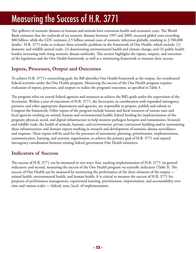## Measuring the Success of H.R. 3771

The spillover of zoonotic diseases to humans and animals have enormous health and economic costs. The World Bank estimates that the outbreak of six zoonotic diseases between 1997 and 2009, incurred global costs exceeding \$80 billion, while the CDC estimates 2.5 billion annual cases of zoonotic infections globally, resulting in 2,700,000 deaths.<sup>1</sup> H.R. 3771 seeks to evaluate three scientific problems in the framework of One Health, which include: (1) domestic and wildlife animal trade, (2) deteriorating environmental health and climate change, and (3) public health burden increasing with rising zoonotic disease outbreaks. This section highlights the inputs, outputs, and outcomes of the legislation and the One Health framework, as well as a monitoring framework to measure their success.

### **Inputs, Processes, Output and Outcomes**

To achieve H.R. 3771's overarching goal, the Bill identifies One Health framework as the output, for coordinated federal activities under the One Health program. Measuring the success of the One Health program requires evaluation of inputs, processes, and outputs to realize the program's outcomes, as specified in Table 3.

The program relies on several federal agencies and resources to achieve the Bill's goals under the supervision of the Secretaries. Within a year of enactment of H.R. 3771, the Secretaries, in coordination with expanded interagency partners, and other appropriate departments and agencies, are responsible to prepare, publish and submit to Congress the framework. Other inputs of the program include human and fiscal resources of various state and local agencies working on animal, human and environmental health; federal funding for implementation of the program; physical, social, and digital infrastructure to help monitor pathogen hotspots and transmission, livestock and wildlife trade, the health of animals, humans, and environment; private contractors building and/or maintaining these infrastructures; and domain experts working in research and development of zoonotic disease surveillance and response. These inputs will be used for the processes of assessment, planning, prioritization, implementation, communication, learning, and systemic organization, to achieve the primary goal of H.R. 3771 and expand interagency coordination between existing federal government One Health initiatives.

#### **Indicators of Success**

The success of H.R. 3771 can be measured in two ways: first, tracking implementation of H.R. 3771 via general indicators; and second, measuring the success of the One Health program via scientific indicators (Table 3). The success of One Health can be measured by monitoring the performance of the three elements of the output animal health, environmental health, and human health. It is critical to measure the success of H.R. 3771 for purposes of performance management, experiential learning, prioritization, improvisation, and accountability over time and various scales — federal, state, local- of implementation.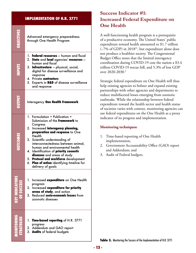#### **IMPLEMENTATION OF H.R. 3771 OBJECTIVES OBJECTIVES** Advanced emergency preparedness through One Health Program 1. **Federal resources** — human and fiscal 2. State and local agencies' resources human and fiscal **NPUTS STRATEGIES MONITORING SUCCESS OF INDICATORS KEY OUTCOMES OUTPUT INPUTS** 3. **Infrastructure** — physical, social, digital for disease surveillance and response **4. Private contractors** 5. Experts in **R&D** of disease surveillance and response **TU41NC Interagency One Health Framework** 1. Formulation + Publication + Submission of the Framework to Congress 2. Increased interagency planning, preparation and response to One **DUTCOMES** Health 3. Scientific understanding of interconnectedness between animal, human and environmental health **4.** Identification of priority zoonotic diseases and areas of study 5. Protocol and workforce development 6. **Plan of action** identifying timeline for delivery of goals 1. Increased **expenditure** on One Health program **2.** Increased expenditure for priority areas of study, and action 3. Reduced socio-economic losses from **VEN** zoonotic diseases 1. Time-based reporting of H.R. 3771 progress 2. Addendum and GAO report 3. **Audits** of federal budgets

## **Success Indicator #1: Increased Federal Expenditure on One** Health

A well-functioning health program is a prerequisite of a productive economy. The United States' public expenditure toward health amounted to  $$1.7$  trillion  $(-7%$  of GDP) in 2018<sup>41</sup>, but expenditure alone does not produce a healthier society. The Congressional Budget Office notes that the limited interagency coordination during COVID-19 cost the nation a  $$3.4$ trillion COVID-19 rescue bill, and  $5.3\%$  of lost GDP over 2020-2030.<sup>2</sup>

Strategic federal expenditure on One Health will thus help existing agencies to bolster and expand existing partnerships with other agencies and departments to reduce multifaceted losses emerging from zoonotic outbreaks. While the relationship between federal expenditure toward the health sector and health status of societies varies with context, monitoring agencies can use federal expenditures on the One Health as a proxy indicator of its progress and implementation.

#### **Monitoring** techniques:

- 1. Time-based reporting of One Health implementation;
- 2. Government Accountability Office (GAO) report and Addendum; and
- 3. Audit of Federal budgets.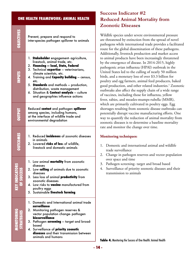#### **OBJECTIVES** Prevent, prepare and respond to inter-species pathogen spillover to animals 1. **Stakeholder** engagement- agriculture, livestock, animal trade, etc. **2. Financing — local, State, Federal** 3. Technical **expertise** — veterinarians, climate scientists, etc. 4. Training and **Capacity building** - census, etc. 5. **Standards** and methods — production, distribution, waste management 6. Situation & **Context analysis** - culture and geographies influence actions **Reduced contact** and pathogen spillover among species, including humans, at the interface of wildlife trade and environmental degradation 1. Reduced **incidences** of zoonotic diseases animals in 2. Lowered risks of loss of wildlife, livestock and domestic animals 1. Low animal **mortality** from zoonotic diseases 2. Low **culling** of animals due to zoonotic diseases 3. Less loss of animal **productivity** from zoonotic diseases 4. Low risks to **vaccine** manufactured from poultry eggs **5. Sustainable livestock farming** 1. Domestic and International animal trade **surveillance** 2. Monitoring pathogen reserves & vector population change- pathogen **biosurveillance** 3. Pathogen **screening** – target and broad-<br>based **4. Surveillance of priority zoonotic** diseases and their transmission between animals and humans **OUTCOMESSTRATE STATE ANTIFICATORS ANIMAL HEALTH**<br> **STRATE STATE SUCCESS OF SUCCESS OF SUCCESS OF SUCCESS OF SUCCESS OF SUCCESS OF SUCCESS OF SUCCESS OF SUCCESS OF SUCCESS OF SUCCESS OF SUCCESS OF SUCCESS OF SUCCESS OF SUCCESS OF**

## **Success Indicator #2 Reduced Animal Mortality from Zoonotic Diseases**

Wildlife species under severe environmental pressure are threatened by extinction from the spread of novel pathogens while international trade provides a facilitated route for the global dissemination of these pathogens. Additionally, livestock production and market access to animal products have been increasingly threatened by the emergence of disease. In 2014-2015, highly pathogenic avian influenza (HPAI) outbreak in the United States led to the culling of nearly 50 million birds, and a monetary loss of over \$3.3 billion for poultry and egg farmers, animal feed producers, baked good production, and other related industries.<sup>1</sup> Zoonotic outbreaks also affect the supply chain of a wide range of vaccines, including those for influenza, yellow fever, rabies, and measles-mumps-rubella (MMR), which are primarily cultivated in poultry eggs. Egg shortages resulting from zoonotic disease outbreaks can potentially disrupt vaccine manufacturing efforts. One way to quantify the reduction of animal mortality from zoonotic diseases is to determine a baseline mortality rate and monitor the change over time.

#### **Monitoring** techniques:

- 1. Domestic and international animal and wildlife trade surveillance
- 2. Change in pathogen reserves and vector population over space and time
- 3. Pathogen screening- target and broad based
- 4. Surveillance of priority zoonotic diseases and their transmission to animals

**Table 4.** Monitoring the Success of One Health: Animal Health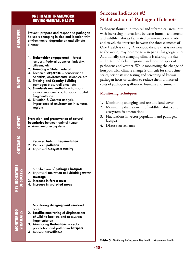#### **ONE HEALTH FRAMEWORK: ENVIRONMENTAL HEALTH**

Prevent, prepare and respond to pathogen hotspots changing in size and location with environmental degradation and climate change

- 1. **Stakeholder engagement** forest rangers, Federal agencies, industry, citizens, etc
- 2. **Financing** State, Federal

**OBJECTIVES**

DBJECTIVES

**DUTPUT** 

**KEY INDICATORS** 

- 3. Technical **expertise** conservation scientists, environmental scientists, etc
- 4. Training and Capacity building pathogen biosurveillance, etc
- 5. **Standards and methods** hotspots, man-animal conflicts, hotspots, habitat fragmentation
- 6. Situation & Context analysis importance of environment in cultures, .regions

Protection and preservation of **natural** environmental ecosystems **boundaries** between animal-human-

- **OUTCOMES 1. Reduced habitat fragmentation** 2. Reduced **pollution** 3. Improved ecosystem vitality
- **h**. Stabilization of **pathogen hotspots 2. Improved sanitation and drinking water coverage 3.** Increase in forest cover **STRATEGIES MONITORING SUCCESS OF INDICATORS KEY OUTCOMES OUTPUT INPUTS**
	- **4.** Increase in **protected areas** 
		- 1. Monitoring **changing land use**/land cover
	- 2. **Satellite-monitorin**g of displacement of wildlife habitats and ecosystem fragmentation
	- 3. Monitoring **fluctuations** in vector population and pathogen **hotspots 4. Disease surveillance**

**Success Indicator #3 Stabilization of Pathogen Hotspots** 

Pathogens flourish in tropical and subtropical areas, but with increasing interactions between human settlements and wildlife habitats facilitated by international trade and travel, the interface between the three elements of One Health is rising. A zoonotic disease that is not new to the world, may become new in particular geographies. Additionally, the changing climate is altering the size and extent of global, regional, and local hotspots of pathogens and vectors. While monitoring the change of hotspots with climate change is difficult for short time scales, scientists use testing and screening of known pathogen hosts or carriers to reduce the multifaceted costs of pathogen spillover to humans and animals.

#### **Monitoring** techniques:

- 1. Monitoring changing land use and land cover;
- 2. Monitoring displacement of wildlife habitats and ecosystem fragmentation;
- 3. Fluctuations in vector population and pathogen hotspots
- 4. Disease surveillance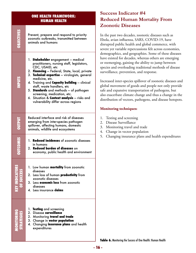#### **ONE HEALTH FRAMEWORK: HUMAN HEALTH**

**OBJECTIVES**

DBJECTIVES

**STURNE** 

**STRATEGIES MONITORING SUCCESS OF INDICATORS KEY OUTCOMES OUTPUT INPUTS**

KEY INDICATORS<br>Of Success

**OUTCOMES** 

**OUTPUT** 

Prevent, prepare and respond to priority zoonotic outbreaks, transmitted between animals and humans

- 1. **Stakeholder** engagement medical practitioners, nursing staff, legislators, CDC, USAID, etc
- 2. **Financing** Federal, State, local, private
- 3. Technical expertise virologists, general medicine, etc.
- 4. Training and **Capacity building** clinical staff, waste handlers, etc
- 5. **Standards** and methods of pathogen screening, medication, etc.
- 6. Situation & **Context analysis** risks and vulnerability differ across regions

Reduced interface and risk of diseases emerging from inter-species pathogen spillover, affecting humans, domestic animals, wildlife and ecosystems

- 1. **Reduced incidences** of zoonotic diseases humans in
- 2. Reduced burden of diseases on economy, public health and environment
- 1. Low human **mortality** from zoonotic diseases
- 2. Less loss of human **productivity** from zoonotic diseases
- 3. Less **economic loss** from zoonotic diseases
- 4. Less insurance **daims**
- 1. **Testing** and screening
- 2. Disease surveillance
- 2. Monitoring **travel and trade**
- 3. Change in vector population
	- 4. Changing **insurance plans** and health expenditures

### **Success Indicator #4 Reduced Human Mortality From Zoonotic Diseases**

In the past two decades, zoonotic diseases such as Ebola, avian influenza, SARS, COVID-19, have disrupted public health and global commerce, with severe yet variable repercussions felt across economies, demographics, and geographies. Some of these diseases have existed for decades, whereas others are emerging or reemerging, gaining the ability to jump between species and overloading traditional methods of disease surveillance, prevention, and response.

Increased inter-species spillover of zoonotic diseases and global movement of goods and people not only provide safe and expansive transportation of pathogens, but also exacerbate climate change and thus a change in the distribution of vectors, pathogens, and disease hotspots.

#### **Monitoring** techniques:

- 1. Testing and screening
- 2. Disease Surveillance
- 3. Monitoring travel and trade
- 4. Change in vector population
- 5. Changing insurance plans and health expenditures

Table 6. Monitoring the Success of One Health: Human Health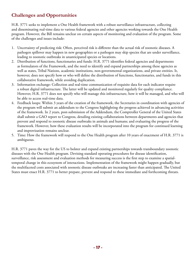### **Challenges and Opportunities**

H.R. 3771 seeks to implement a One Health framework with a robust surveillance infrastructure, collecting and disseminating real-time data to various federal agencies and other agencies working towards the One Health program. However, the Bill remains unclear on certain aspects of monitoring and evaluation of the program. Some of the challenges and issues include:

- 1. Uncertainty of predicting risk: Often, perceived risk is different than the actual risk of zoonotic diseases. A pathogen spillover may happen in new geographies or a pathogen may skip species that are under surveillance, leading to zoonotic outbreaks in unanticipated species or locations.
- 2. Distribution of functions, functionaries and funds: H.R. 3771 identifies federal agencies and departments as formulators of the Framework, and the need to identify and expand partnerships among these agencies as well as states, Tribal Nations, academic institutions, non-governmental organizations, and private entities. It, however, does not specify how or who will define the distribution of functions, functionaries, and funds in this collaborative framework, while avoiding duplication.
- 3. Information exchange: Collection and real-time communication of requisite data for each indicator require a robust digital infrastructure. The latter will be updated and monitored regularly for quality compliance. However, H.R. 3771 does not specify who will manage this infrastructure, how it will be managed, and who will be able to access real-time data.
- 4. Feedback loops: Within 3 years of the creation of the framework, the Secretaries in coordination with agencies of the program will submit an addendum to the Congress highlighting the progress achieved in advancing activities of the framework. In 2 years, post-submission of the Addendum, the Comptroller General of the United States shall submit a GAO report to Congress, detailing existing collaborations between departments and agencies that prevent and respond to zoonotic disease outbreaks in animals and humans; and evaluating the progress of the framework. However, how these evaluation results will be incorporated into the program for continued learning and improvization remains unclear.
- 5. Time: How the framework will respond to the One Health program after 10 years of enactment of H.R. 3771 is .ambiguous

H.R. 3771 paves the way for the US to bolster and expand existing partnerships towards transboundary zoonotic diseases with the One Health program. Devising standard operating procedures for disease identification, temporal change in this ecosystem of interactions. Implementation of the framework might happen gradually, but surveillance, risk assessment and evaluation methods for measuring success is the first step to examine a spatialthe multifaceted costs associated with zoonotic disease outbreaks are increasing faster than anticipated. The United States must enact H.R. 3771 to better prepare, prevent and respond to these immediate and forthcoming threats.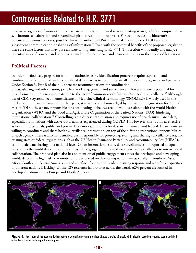## **Controversies Related to H.R. 3771**

Despite recognition of zoonotic impact across various governmental sectors, existing strategies lack a comprehensive, synchronous collaboration and streamlined plan to respond to outbreaks. For example, despite bioterrorism potential of various zoonoses, possible threats identified by USAID were taken over by the DOD without subsequent communication or sharing of information.<sup>31</sup> Even with the potential benefits of the proposed legislation, there are some factors that may pose an issue to implementing H.R. 3771. This section will identify and analyze potential areas of concern and controversy under political, social, and economic sectors in the proposed legislation.

#### **Factors Political**

In order to effectively prepare for zoonotic outbreaks, early identification processes require expansion and a combination of centralized and decentralized data sharing to accommodate all collaborating agencies and partners. Under Section 3, Part B of the bill, there are recommendations for coordination of data-sharing and information, joint fieldwork engagement and surveillance.<sup>1</sup> However, there is potential for misinformation in open-source data due to the lack of common vocabulary in One Health surveillance.<sup>32</sup> Although use of CDC's Systematized Nomenclature of Medicine Clinical Terminology (SNOMED) is widely used in the US by both human and animal health experts, it is yet to be acknowledged by the World Organization for Animal Health (OIE), the agency responsible for coordinating global research of zoonoses along with the World Health Organization (WHO) and the Food and Agriculture Organization of the United Nations (FAO), hindering international collaboration.<sup>37</sup> Controlling rapid disease transmission also requires use of health surveillance data, especially from nations with active outbreaks, as experienced during COVID-19. However, this is only as effective as health professionals, public and private laboratories, and other local, state, territorial, and federal departments are willing to coordinate and share health surveillance information, on top of the differing institutional responsibilities of each agency. There is also no identified party responsible for protecting, storing and sharing surveillance data, and existing state or federal regulations such as the US Health Insurance Portability and Accountability Act (HIPAA), can impede data-sharing on a national level. On an international scale, data surveillance is not reported at equal rates across the world despite zoonoses disregard for geographical boundaries, generating challenges to international collaboration. The proposed plan also has no mention of public engagement across the developed and developing world, despite the high risk of zoonotic outbreak placed on developing nations — especially in Southeast Asia, Africa, South and Central America — and a defined framework to adapt existing response and workforce capacities of different nations is lacking. Of the 125 reference laboratories across the world, 62% percent are located in developed nations across Europe and North America.<sup>32</sup>



Figure 4. Heat maps of the geographic distribution of zoonotic emerging infectious disease showing a) predicted distribution based on reported events and the b) estimated risk after factoring out reporting bias<sup>33</sup>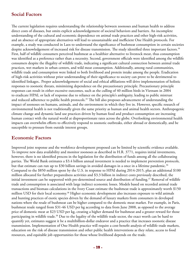#### **Factors Social**

The current legislation requires understanding the relationship between zoonoses and human health to address direct costs of diseases, but omits explicit acknowledgement of societal behaviors and barriers. An incomplete understanding of the cultural and economic dependence on animal trade practices and other high-risk activities, and an absence of appropriate alternatives will lead to unsustainable and inefficient One Health protocols. For example, a study was conducted in Laos to understand the significance of bushmeat consumption in certain societies despite acknowledgement of increased risk for disease transmission. The study identified three important factors.<sup>34</sup> First, half of wildlife consumers perceived bushmeat as a healthier alternative to livestock meat, thus consumption was identified as a preference rather than a necessity. Second, government officials were identified among the wildlife consumers despite the illegality of wildlife trade, indicating a significant cultural connection between animal trade practices, wet markets in urban centers, and wild meat consumption. Additionally, among rural communities, wildlife trade and consumption were linked to both livelihood and protein intake among the people. Eradication of high-risk activities without prior understanding of their significance to society can prove to be detrimental to identified linkages.. Proper acknowledgement of social and ethical affiliations will drive implementation of holistic responses to zoonotic threats, minimizing dependence on the precautionary principle. Precautionary principle responses can result in either excessive outcomes, such as the culling of  $40$  million birds in Vietnam in 2004 to eradicate HPAI, or lack of response due to reliance on the principle's ambiguity, leading to public mistrust and reduced adherence to public health protocols.<sup>35</sup> The bill also proposes advancement of understanding the impact of zoonoses on humans, animals, and the environment in which they live in. However, specific research of environmental health is not traditionally given the same priority as human and animal health sectors. Anthropogenic climate change and dynamic land use practices driven by human food and product consumption are increasing human contact with the natural world at disproportionate rates across the globe. Overlooking environmental health impacts can overwhelm efforts to effectively respond to zoonotic outbreaks, either abroad or domestically, and be susceptible to pressure from outside interest groups.

#### **Economic Factors**

Improved joint response and the workforce development proposed can be limited by scientific evidence available. To improve new data availability and monitor zoonoses as described in H.R. 3771, requires initial investments, however, there is no identified process in the legislation for the distribution of funds among all the collaborating parties. The World Bank estimates a \$3.4 billion annual investment is needed to implement prevention protocols, but that estimate can run up to \$30 billion savings in avoided damages in a once in a lifetime pandemic.<sup>36</sup> Compared to the \$850 million spent by the U.S. in response to HPAI during 2014-2015, plus an additional \$100 million allocated for further preparedness activities and \$3.3 billion in indirect costs previously described, the initial investment can be supported with pre-determined source and distribution of funding.<sup>37</sup> Removal of wildlife trade and consumption is associated with large indirect economic losses. Models based on recorded animal trade transactions and biomass calculations in the Ivory Coast estimate the bushmeat trade is approximately worth \$150 million USD for their local economy.<sup>38</sup> Higher economic development also increases exposure to wild animals and hunting practices of exotic species driven by the demand of luxury markets from consumers in developed nations where the resale of bushmeat can be higher compared to the domestic meat market. For example, in Paris, bushmeat resale ranged from \$31-46 USD per kg according to data from June 2008, as opposed to the average price of domestic meat at \$23 USD per kg, creating a higher demand for bushmeat and a greater reward for those participating in wildlife trade.<sup>38</sup> Due to the legality of the wildlife trade sector, the exact worth can be hard to quantify yet, estimates suggest it be a multibillion-dollar endeavor and a practice that increases zoonotic disease transmission. Implementation of One Health practice will require a cost-benefit analysis of wildlife trade markets, education on the risk of disease transmission and other public health interventions as they relate, access to food resources, and equitable job opportunities for those whose livelihood depends on the trade.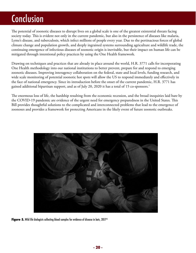## **Conclusion**

The potential of zoonotic diseases to disrupt lives on a global scale is one of the greatest existential threats facing society today. This is evident not only in the current pandemic, but also in the persistence of diseases like malaria, Lyme's disease, and tuberculosis, which infect millions of people every year. Due to the pertinacious forces of global climate change and population growth, and deeply ingrained systems surrounding agriculture and wildlife trade, the continuing emergence of infectious diseases of zoonotic origin is inevitable, but their impact on human life can be mitigated through intentional policy practices by using the One Health framework.

Drawing on techniques and practices that are already in place around the world, H.R. 3771 calls for incorporating One Health methodology into our national institutions to better prevent, prepare for and respond to emerging zoonotic diseases. Improving interagency collaboration on the federal, state and local levels, funding research, and wide scale monitoring of potential zoonotic hot spots will allow the US to respond immediately and effectively in the face of national emergency. Since its introduction before the onset of the current pandemic, H.R. 3771 has gained additional bipartisan support, and as of July 20, 2020 it has a total of 15 co-sponsors.<sup>1</sup>

The enormous loss of life, the hardship resulting from the economic recession, and the broad inequities laid bare by the COVID-19 pandemic are evidence of the urgent need for emergency preparedness in the United States. This Bill provides thoughtful solutions to the complicated and interconnected problems that lead to the emergence of zoonoses and provides a framework for protecting Americans in the likely event of future zoonotic outbreaks.



Figure 5. Wild life biologists collecting blood samples for evidence of disease in bats, 2017<sup>45</sup>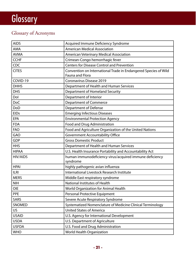# **Glossary**

## Glossary of Acronyms

| <b>AIDS</b>     | Acquired Immune Deficiency Syndrome                             |  |
|-----------------|-----------------------------------------------------------------|--|
| <b>AMA</b>      | <b>American Medical Association</b>                             |  |
| <b>AVMA</b>     | American Veterinary Medical Association                         |  |
| <b>CCHF</b>     | Crimean-Congo hemorrhagic fever                                 |  |
| CDC             | <b>Centers for Disease Control and Prevention</b>               |  |
| <b>CITES</b>    | Convention on International Trade in Endangered Species of Wild |  |
|                 | <b>Fauna and Flora</b>                                          |  |
| COVID-19        | Coronavirus Disease 2019                                        |  |
| <b>DHHS</b>     | Department of Health and Human Services                         |  |
| <b>DHS</b>      | Department of Homeland Security                                 |  |
| Dol             | Department of Interior                                          |  |
| <b>DoC</b>      | <b>Department of Commerce</b>                                   |  |
| DoD             | <b>Department of Defense</b>                                    |  |
| <b>EIDs</b>     | <b>Emerging Infectious Diseases</b>                             |  |
| <b>EPA</b>      | <b>Environmental Protection Agency</b>                          |  |
| <b>FDA</b>      | Food and Drug Administration                                    |  |
| <b>FAO</b>      | Food and Agriculture Organization of the United Nations         |  |
| GAO             | <b>Government Accountability Office</b>                         |  |
| <b>GDP</b>      | <b>Gross Domestic Product</b>                                   |  |
| <b>HHS</b>      | Department of Health and Human Services                         |  |
| <b>HIPAA</b>    | U.S. Health Insurance Portability and Accountability Act        |  |
| <b>HIV/AIDS</b> | human immunodeficiency virus/acquired immune deficiency         |  |
|                 | syndrome                                                        |  |
| <b>HPAI</b>     | highly pathogenic avian influenza                               |  |
| <b>ILRI</b>     | International Livestock Research Institute                      |  |
| <b>MERS</b>     | Middle East respiratory syndrome                                |  |
| <b>NIH</b>      | National Institutes of Health                                   |  |
| <b>OIE</b>      | World Organization for Animal Health                            |  |
| <b>PPE</b>      | Personal Protective Equipment                                   |  |
| <b>SARS</b>     | Severe Acute Respiratory Syndrome                               |  |
| SNOMED          | Systematized Nomenclature of Medicine Clinical Terminology      |  |
| US              | <b>United States of America</b>                                 |  |
| <b>USAID</b>    | U.S. Agency for International Development                       |  |
| <b>USDA</b>     |                                                                 |  |
|                 | U.S. Department of Agriculture                                  |  |
| <b>USFDA</b>    | U.S. Food and Drug Administration                               |  |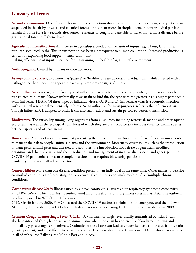### **Glossary** of Terms

Aerosol transmission: One of two airborne means of infectious disease spreading. In aerosol form, viral particles are suspended in the air by physical and chemical forces for hours or more. In droplet form, in contrast, viral particles remain airborne for a few seconds after someone sneezes or coughs and are able to travel only a short distance before gravitational forces pull them down.

**Agricultural intensification:** An increase in agricultural production per unit of inputs (e.g. labour, land, time, fertilizer, seed, feed, cash). This intensification has been a prerequisite to human civilization. Increased production is critical for expanding food supply; intensification that making efficient use of inputs is critical for maintaining the health of agricultural environments.

Anthropogenic: Caused by humans or their activities.

Asymptomatic carriers, also known as 'passive' or 'healthy' disease carriers: Individuals that, while infected with a pathogen, neither report nor appear to have any symptoms or signs of illness.

Avian influenza: A severe, often fatal, type of influenza that affects birds, especially poultry, and that can also be transmitted to humans. Known informally as avian flu or bird flu, the type with the greatest risk is highly pathogenic avian influenza (HPAI). Of three types of influenza viruses (A, B and C), influenza A virus is a zoonotic infection with a natural reservoir almost entirely in birds. Avian influenza, for most purposes, refers to the influenza A virus. Though influenza A is adapted to birds, it can also stably adapt and sustain person-to-person transmission

Biodiversity: The variability among living organisms from all sources, including terrestrial, marine and other aquatic ecosystems, as well as the ecological complexes of which they are part. Biodiversity includes diversity within species, between species and of ecosystems.

**Biosecurity:** A series of measures aimed at preventing the introduction and/or spread of harmful organisms in order to manage the risk to people, animals, plants and the environment. Biosecurity covers issues such as the introduction of plant pests, animal pests and diseases, and zoonoses, the introduction and release of genetically modified organisms and their products, and the introduction and management of invasive alien species and genotypes. The COVID-19 pandemic is a recent example of a threat that requires biosecurity policies and regulatory measures in all relevant sectors.

**Comorbidities:** More than one disease/condition present in an individual at the same time. Other names to describe co-morbid conditions are 'co-existing' or 'co-occurring' conditions and 'multimorbidity' or 'multiple chronic .conditions

Coronavirus disease 2019: Illness caused by a novel coronavirus, 'severe acute respiratory syndrome coronavirus 2' (SARS-CoV-2), which was first identified amid an outbreak of respiratory illness cases in East Asia. The outbreak was first reported to WHO on 31 December

2019. On 30 January 2020, WHO declared the COVID-19 outbreak a global health emergency and the following March a global pandemic, WHO's first such designation since declaring H1N1 influenza a pandemic in 2009.

**Crimean Congo haemorrhagic fever (CCHF)**: A viral haemorrhagic fever usually transmitted by ticks. It can also be contracted through contact with animal tissue where the virus has entered the bloodstream during and immediately post-slaughter of animals. Outbreaks of the disease can lead to epidemics, have a high case fatality ratio  $(10-40$  per cent) and are difficult to prevent and treat. First described in the Crimea in 1944, the disease is endemic in all of Africa, the Balkans, the Middle East and in Asia.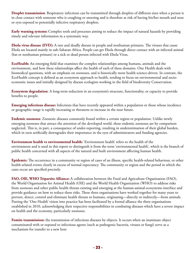**Droplet transmission**: Respiratory infections can be transmitted through droplets of different sizes when a person is in close contact with someone who is coughing or sneezing and is therefore at risk of having his/her mouth and nose or eyes exposed to potentially infective respiratory droplets.

**Early warning systems:** Complex tools and processes aiming to reduce the impact of natural hazards by providing timely and relevant information in a systematic way.

**Ebola virus disease (EVD):** A rare and deadly disease in people and nonhuman primates. The viruses that cause Ebola are located mainly in sub-Saharan Africa. People can get Ebola through direct contact with an infected animal (bat or nonhuman primate) or a sick or dead person infected with Ebola Virus.

**EcoHealth:** An emerging field that examines the complex relationships among humans, animals and the environment, and how these relationships affect the health of each of these domains. One Health deals with biomedical questions, with an emphasis on zoonoses, and is historically more health science-driven. In contrast, the economic issues and initially designed by disease ecologists working in the field of biodiversity Conservation. EcoHealth concept is defined as an ecosystem approach to health, tending to focus on environmental and socio-

**Ecosystem degradation:** A long-term reduction in an ecosystem's structure, functionality, or capacity to provide benefits to people.

Emerging infectious disease: Infections that have recently appeared within a population or those whose incidence or geographic range is rapidly increasing or threatens to increase in the near future.

**Endemic zoonoses:** Zoonotic diseases commonly found within a certain region or population. Unlike newly emerging zoonoses that attract the attention of the developed world, these endemic zoonoses are by comparison neglected. This is, in part, a consequence of under-reporting, resulting in underestimation of their global burden, which in turn artificially downgrades their importance in the eyes of administrators and funding agencies.

**Environment health vs environmental health:** 'Environment health' refers to the health of the environment and is used in this report to distinguish it from the term 'environmental health', which is the branch of public health concerned with all aspects of the natural and built environment affecting human health.

Epidemic: The occurrence in a community or region of cases of an illness, specific health-related behaviour, or other health-related events clearly in excess of normal expectancy. The community or region and the period in which the cases occur are specified precisely.

FAO, OIE, WHO Tripartite Alliance: A collaboration between the Food and Agriculture Organization (FAO), the World Organisation for Animal Health (OIE) and the World Health Organization (WHO) to address risks from zoonoses and other public health threats existing and emerging at the human-animal-ecosystems interface and provide guidance on how to reduce these risks. These three organisations have worked together for many years to prevent, detect, control and eliminate health threats to humans, originating—directly or indirectly—from animals. Putting the 'One Health' vision into practice has been facilitated by a formal alliance the three organisations established in 2010, acknowledging their respective responsibilities in combating diseases which have a severe impact on health and the economy, particularly zoonoses.

Fomite transmission: the transmission of infectious diseases by objects. It occurs when an inanimate object contaminated with or exposed to infectious agents (such as pathogenic bacteria, viruses or fungi) serve as a mechanism for transfer to a new host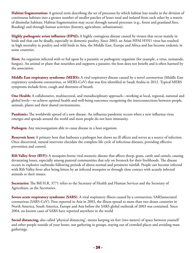Habitat fragmentation: A general term describing the set of processes by which habitat loss results in the division of continuous habitats into a greater number of smaller patches of lesser total and isolated from each other by a matrix of dissimilar habitats. Habitat fragmentation may occur through natural processes (e.g., forest and grassland fires, flooding) and through human activities (forestry, agriculture, urbanization).

Highly pathogenic avian influenza (HPAI): A highly contagious disease caused by viruses that occur mainly in birds and that can be deadly, especially in domestic poultry. Since 2003, an Asian HPAI H5N1 virus has resulted in high mortality in poultry and wild birds in Asia, the Middle East, Europe and Africa and has become endemic in some countries.

Host: An organism infected with or fed upon by a parasitic or pathogenic organism (for example, a virus, nematode, fungus). An animal or plant that nourishes and supports a parasite; the host does not benefit and is often harmed by the association.

Middle East respiratory syndrome (MERS): A viral respiratory disease caused by a novel coronavirus (Middle East respiratory syndrome coronavirus, or MERS-CoV) that was first identified in Saudi Arabia in 2012. Typical MERS symptoms include fever, cough and shortness of breath.

**One Health:** A collaborative, multisectoral, and transdisciplinary approach—working at local, regional, national and global levels—to achieve optimal health and well-being outcomes recognizing the interconnections between people, animals, plants and their shared environments.

Pandemic: The worldwide spread of a new disease. An influenza pandemic occurs when a new influenza virus emerges and spreads around the world and most people do not have immunity.

Pathogen: Any microorganism able to cause disease in a host organism.

Reservoir host: A primary host that harbours a pathogen but shows no ill effects and serves as a source of infection. Once discovered, natural reservoirs elucidate the complete life cycle of infectious diseases, providing effective prevention and control.

**Rift Valley fever (RVF):** A mosquito-borne viral zoonotic disease that affects sheep, goats, cattle and camels, causing devastating losses, especially among pastoral communities that rely on livestock for their livelihoods. The disease occurs in explosive outbreaks following periods of above-normal and persistent rainfall. People can become infected with Rift Valley fever after being bitten by an infected mosquito or through close contact with acutely infected animals or their tissues.

Secretaries: The Bill H.R. 3771 refers to the Secretary of Health and Human Services and the Secretary of Agriculture, as the Secretaries.

Severe acute respiratory syndrome (SARS): A viral respiratory illness caused by a coronavirus, SARS associated coronavirus (SARS-CoV). First reported in Asia in 2003, the illness spread to more than two dozen countries in North America, South America, Europe and Asia before the SARS global outbreak of 2003 was contained. Since 2004, no known cases of SARS have reported anywhere in the world

**Social distancing,** also called 'physical distancing', means keeping six feet (two meters) of space between yourself and other people outside of your home, not gathering in groups, staying out of crowded places and avoiding mass .gatherings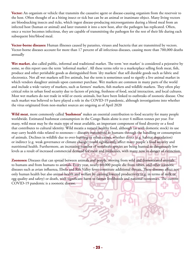Vector: An organism or vehicle that transmits the causative agent or disease-causing organism from the reservoir to the host. Often thought of as a biting insect or tick but can be an animal or inanimate object. Many living vectors are blood sucking insects and ticks, which ingest disease-producing microorganisms during a blood meal from an infected host (human or animal) and later transmit it into a new host, after the pathogen has replicated. Often, once a vector becomes infectious, they are capable of transmitting the pathogen for the rest of their life during each subsequent bite/blood meal.

Vector-borne diseases: Human illnesses caused by parasites, viruses and bacteria that are transmitted by vectors. Vector-borne diseases account for more than 17 percent of all infectious diseases, causing more than 700,000 deaths annually

Wet market, also called public, informal and traditional market. The term 'wet market' is considered a pejorative by some, so this report uses the term 'informal market'. All these terms refer to a marketplace selling fresh meat, fish, produce and other perishable goods as distinguished from 'dry markets' that sell durable goods such as fabric and electronics. Not all wet markets sell live animals, but the term is sometimes used to signify a live animal market in which vendors slaughter animals upon customer purchase. Wet markets are common in many parts of the world and include a wide variety of markets, such as farmers' markets, fish markets and wildlife markets. They often play critical roles in urban food security due to factors of pricing, freshness of food, social interaction, and local cultures. Most wet markets do not trade in wild or exotic animals, but have been linked to outbreaks of zoonotic disease. One such market was believed to have played a role in the COVID-19 pandemic, although investigations into whether the virus originated from non-market sources are ongoing as of April 2020

Wild meat, more commonly called 'bushmeat' makes an essential contribution to food security for many people worldwide. Estimated bushmeat consumption in the Congo Basin alone is over 4 million tonnes per year. For many, wild meat may be the main type of meat available, an important component of food diversity or a food that contributes to cultural identity. Wild meatis a natural healthy food, although (as with domestic stock) its use may carry health risks related to zoonoses— diseases transmitted to humans through the handling or consumption of animals. Declines in wildlife due to over-hunting or other causes, whether direct (e.g. habitat degradation) or indirect (e.g. weak governance or climate change) could significantly affect many people's food security and nutritional health. Furthermore, an increasing number of vertebrate species are being hunted to dangerously low levels as a result of increased commercial demand for meat and medicines, with many now in danger of extinction.

Zoonoses: Diseases that can spread between animals and people, moving from wild and domesticated animals to humans and from humans to animals. Every year, nearly 60,000 people die from rabies, and other zoonotic diseases such as avian influenza, Ebola and Rift Valley fever constitute additional threats. These diseases affect not only human health but also animal health and welfare by causing lowered productivity (e.g. in terms of milk or egg quality and safety) or death, with significant harm to farmer livelihoods and national economies. The current COVID-19 pandemic is a zoonotic disease.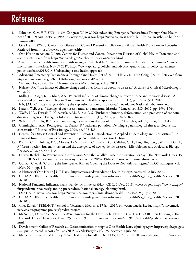## **References**

- 1. Schrader, Kurt. H.R.3771 116th Congress (2019-2020): Advancing Emergency Preparedness Through One Health Act of 2019. 9 Aug. 2019. 2019/2020, www.congress.gov, https://www.congress.gov/bill/116th-congress/house-bill/3771/  $summary/00$ .
- 2. One Health. (2020). Centers for Disease and Control Prevention; Division of Global Health Protection and Security. Retrieved from https://www.cdc.gov/onehealth/
- 3. One Health in Action. (2020). Centers for Disease and Control Prevention; Division of Global Health Protection and Security. Retrieved from https://www.cdc.gov/onehealth/in-action/index.html
- Environment Interface. Nov 07 2017. https://www.apha.org/policies-and-advocacy/public-health-policy-statements/ 4. American Public Health Association. Advancing a 'One Health' Approach to Promote Health at the Human-Animalpolicy-database/2018/01/18/advancing-a-one-health-approach
- 5. Advancing Emergency Preparedness Through One Health Act of 2019, H.R.3771, 116th Cong. (2019). Retrieved from https://www.congress.gov/bill/116th-congress/house-bill/3771/
- 6. "Microbiology by numbers." Nature Reviews Microbiology, vol. 9, 2011.
- 7. Naicker, P.R. "The impact of climate change and other factors on zoonotic diseases." Archives of Clinical Microbiology, vol. 2, 2011.
- 8. Mills, J.N., Gage, K.L., Khan, A.S. "Potential influence of climate change on vector-borne and zoonotic diseases: A review and proposed research plan."Environmental Health Perspective, vol. 118(11), pp. 1507-1514, 2010.
- 9. Fair, J.M. "Climate change is driving the expansion of zoonotic diseases." Los Alamos National Laboratory, n.d.
- 10. Karesh, W.B. et al. "Ecology of zoonoses: natural and unnatural histories." Lancet, vol. 380, 2012, pp. 1936-1944.
- 11. Wolfe, N.D., Daszak, P., Kilpatrick, A.M., Burke, D.S. "Bushmeat, hunting, deforestation, and prediction of zoonotic disease emergence." Emerging Infectious Diseases, vol.  $11$   $(12)$ ,  $2005$ , pp.  $1822-1827$ .
- 12. Wilcox, B.A., Ellis, B. "Forests and emerging infectious diseases of humans." Unasylva, vol. 57, 2006, pp. 11-18.
- 13. Cunningham, A.A., Rodriguez, J.P., Daszak, P. "Pathogen pollution: Defining a parasitological threat to biodiversity conservation." Journal of Parasitology, 2003, pp. 578-583.
- 14. Centers for Disease Control and Prevention. "Lesson 1: Introduction to Applied Epidemiology and Biostatistics." n.d. Retrieved from https://www.cdc.gov/csels/dsepd/ss1978/lesson1/section10.html
- 15. Parrish, C.R., Holmes, E.C., Morens, D.M., Park, E.C., Burke, D.S., Calisher, C.H., Laughlin, C.A., Saif, L.J., Daszak, P. "Cross-species virus transmission and the emergence of new epidemic diseases." Microbiology and Molecular Biology Reviews, 2008, pp. 457-470.
- 16. Nuwer, Rachel. "To Prevent Next Coronavirus, Stop the Wildlife Trade, Conservationists Say." The New York Times, 19 .html.markets.html.markets.html.markets.html.markets.html.markets.html.markets.html.markets.html.markets.html.
- 17. Gortzar, C. et al. "Crossing the Interspecies Barrier: Opening the Door to Zoonotic Pathogens." PLOS Pathogens, vol.  $10(6)$ , 2014, pp. 1-5.
- 18. A History of One Health | UC Davis. https://www.ucdavis.edu/one-health/history/. Accessed 28 July 2020.
- 19. USDA APHIS | One Health. https://www.aphis.usda.gov/aphis/ourfocus/animalhealth/SA\_One\_Health. Accessed 28 2020. July
- 20. National Pandemic Influenza Plans | Pandemic Influenza (Flu) | CDC. 6 Dec. 2018. www.cdc.gov, https://www.cdc.gov/ flu/pandemic-resources/planning-preparedness/national-strategy-planning.html.
- 21. One Health. www.usda.gov, https://www.usda.gov/topics/animals/one-health. Accessed 28 July 2020.
- 22. USDA APHIS | One Health. https://www.aphis.usda.gov/aphis/ourfocus/animalhealth/SA\_One\_Health. Accessed 28 2020. July
- 23. Cho, Eunah. "PREDICT." School of Veterinary Medicine, 17 Jan. 2019. ohi.vetmed.ucdavis.edu, https://ohi.vetmed. ucdavis.edu/programs-projects/predict-project.
- 24. McNeil Jr., Donald G. "Scientists Were Hunting for the Next Ebola. Now the U.S. Has Cut Off Their Funding. The New York Times." New York Times, 25 Oct. 2019, https://www.nytimes.com/2019/10/25/health/predict-usaid-viruses. .html
- 25. Development, Office of Research &. Decontamination through a One Health Lens. cfpub.epa.gov, https://cfpub.epa.gov/ si/si\_public\_record\_report.cfm?Lab=NHSRC&dirEntryId=347475. Accessed 3 July 2020.
- 26. Medicine, Center for Veterinary. "One Health: It's for All of Us." FDA, FDA, Feb. 2020. www.fda.gov, https://www.fda.